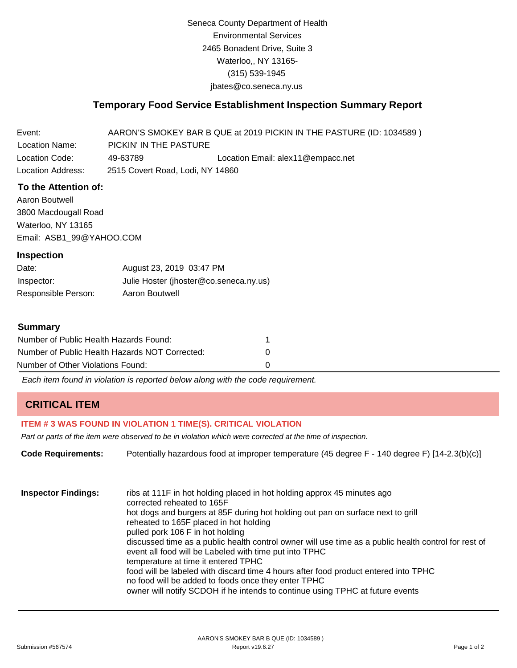Seneca County Department of Health Environmental Services 2465 Bonadent Drive, Suite 3 Waterloo,, NY 13165- (315) 539-1945 [jbates@co.seneca.ny.us](mailto:jbates@co.seneca.ny.us)

## **Temporary Food Service Establishment Inspection Summary Report**

Event: Location Name: AARON'S SMOKEY BAR B QUE at 2019 PICKIN IN THE PASTURE (ID: 1034589 ) PICKIN' IN THE PASTURE Location Code: 49-63789 Location Email: [alex11@empacc.net](mailto:alex11@empacc.net) Location Address: 2515 Covert Road, Lodi, NY 14860

### **To the Attention of:**

Aaron Boutwell 3800 Macdougall Road Waterloo, NY 13165 [Email: ASB1\\_99@YAHOO.COM](mailto:ASB1_99@YAHOO.COM)

#### **Inspection**

Date: Inspector: Responsible Person: August 23, 2019 03:47 PM Julie Hoster (jhoster@co.seneca.ny.us) Aaron Boutwell

#### **Summary**

| Number of Public Health Hazards Found:         |  |
|------------------------------------------------|--|
| Number of Public Health Hazards NOT Corrected: |  |
| Number of Other Violations Found:              |  |

*Each item found in violation is reported below along with the code requirement.*

## **CRITICAL ITEM**

#### **ITEM # 3 WAS FOUND IN VIOLATION 1 TIME(S). CRITICAL VIOLATION**

*Part or parts of the item were observed to be in violation which were corrected at the time of inspection.*

**Code Requirements:** Potentially hazardous food at improper temperature (45 degree F - 140 degree F) [14-2.3(b)(c)] **Inspector Findings:** ribs at 111F in hot holding placed in hot holding approx 45 minutes ago corrected reheated to 165F hot dogs and burgers at 85F during hot holding out pan on surface next to grill reheated to 165F placed in hot holding pulled pork 106 F in hot holding discussed time as a public health control owner will use time as a public health control for rest of event all food will be Labeled with time put into TPHC temperature at time it entered TPHC food will be labeled with discard time 4 hours after food product entered into TPHC

owner will notify SCDOH if he intends to continue using TPHC at future events

no food will be added to foods once they enter TPHC